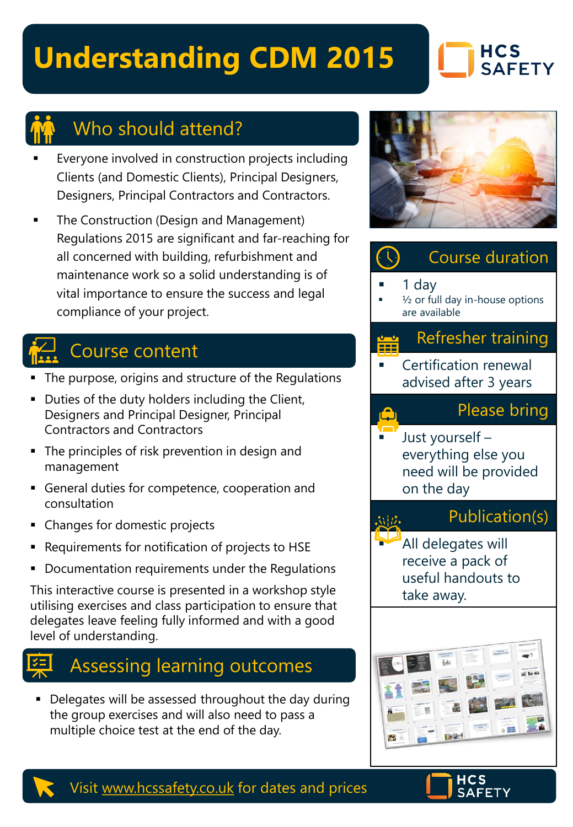# **Understanding CDM 2015**

### **HCS SAFETY**



### Who should attend?

- Everyone involved in construction projects including Clients (and Domestic Clients), Principal Designers, Designers, Principal Contractors and Contractors.
- The Construction (Design and Management) Regulations 2015 are significant and far-reaching for all concerned with building, refurbishment and maintenance work so a solid understanding is of vital importance to ensure the success and legal compliance of your project.

## Course content

- The purpose, origins and structure of the Regulations
- Duties of the duty holders including the Client, Designers and Principal Designer, Principal Contractors and Contractors
- **The principles of risk prevention in design and** management
- General duties for competence, cooperation and consultation
- Changes for domestic projects
- Requirements for notification of projects to HSE
- Documentation requirements under the Regulations

This interactive course is presented in a workshop style utilising exercises and class participation to ensure that delegates leave feeling fully informed and with a good level of understanding.

## Assessing learning outcomes

**• Delegates will be assessed throughout the day during** the group exercises and will also need to pass a multiple choice test at the end of the day.



### Course duration 1 dav  $\frac{1}{2}$  or full day in-house options are available Refresher training **Certification renewal** advised after 3 years Please bring Just yourself everything else you need will be provided on the day Publication(s) 式出た All delegates will receive a pack of useful handouts to take away.



Visit [www.hcssafety.co.uk](http://www.hcssafety.co.uk/) for dates and prices